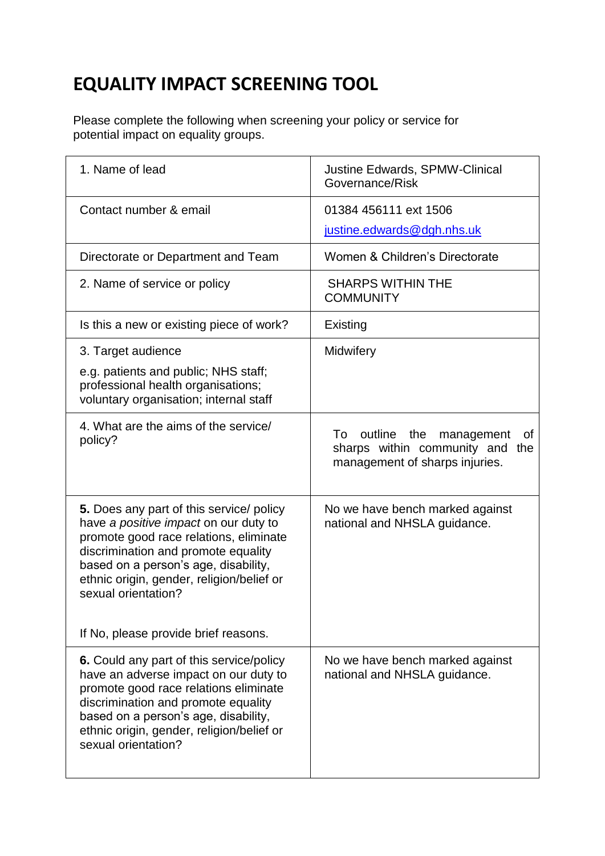## **EQUALITY IMPACT SCREENING TOOL**

Please complete the following when screening your policy or service for potential impact on equality groups.

| 1. Name of lead                                                                                                                                                                                                                                                                      | Justine Edwards, SPMW-Clinical<br>Governance/Risk                                                          |
|--------------------------------------------------------------------------------------------------------------------------------------------------------------------------------------------------------------------------------------------------------------------------------------|------------------------------------------------------------------------------------------------------------|
| Contact number & email                                                                                                                                                                                                                                                               | 01384 456111 ext 1506                                                                                      |
|                                                                                                                                                                                                                                                                                      | justine.edwards@dgh.nhs.uk                                                                                 |
| Directorate or Department and Team                                                                                                                                                                                                                                                   | Women & Children's Directorate                                                                             |
| 2. Name of service or policy                                                                                                                                                                                                                                                         | <b>SHARPS WITHIN THE</b><br><b>COMMUNITY</b>                                                               |
| Is this a new or existing piece of work?                                                                                                                                                                                                                                             | Existing                                                                                                   |
| 3. Target audience                                                                                                                                                                                                                                                                   | Midwifery                                                                                                  |
| e.g. patients and public; NHS staff;<br>professional health organisations;<br>voluntary organisation; internal staff                                                                                                                                                                 |                                                                                                            |
| 4. What are the aims of the service/<br>policy?                                                                                                                                                                                                                                      | outline the<br>To<br>management<br>Οt<br>sharps within community and the<br>management of sharps injuries. |
| 5. Does any part of this service/ policy<br>have a positive impact on our duty to<br>promote good race relations, eliminate<br>discrimination and promote equality<br>based on a person's age, disability,<br>ethnic origin, gender, religion/belief or<br>sexual orientation?       | No we have bench marked against<br>national and NHSLA guidance.                                            |
| If No, please provide brief reasons.                                                                                                                                                                                                                                                 |                                                                                                            |
| <b>6.</b> Could any part of this service/policy<br>have an adverse impact on our duty to<br>promote good race relations eliminate<br>discrimination and promote equality<br>based on a person's age, disability,<br>ethnic origin, gender, religion/belief or<br>sexual orientation? | No we have bench marked against<br>national and NHSLA guidance.                                            |